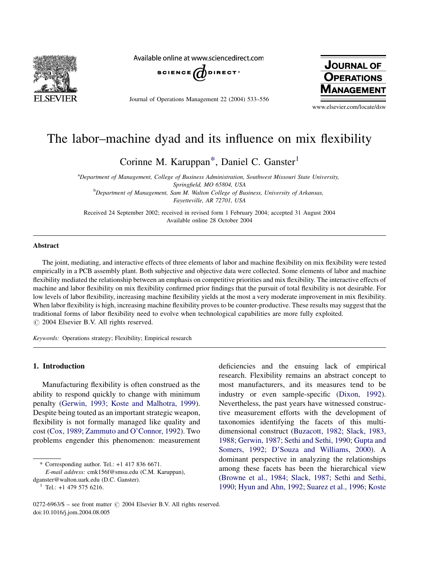

Available online at www.sciencedirect.com



Journal of Operations Management 22 (2004) 533–556



www.elsevier.com/locate/dsw

## The labor–machine dyad and its influence on mix flexibility

Corinne M. Karuppan<sup>\*</sup>, Daniel C. Ganster<sup>1</sup>

<sup>a</sup>Department of Management, College of Business Administration, Southwest Missouri State University, Springfield, MO 65804, USA **b** Department of Management, Sam M. Walton College of Business, University of Arkansas, Fayetteville, AR 72701, USA

Received 24 September 2002; received in revised form 1 February 2004; accepted 31 August 2004 Available online 28 October 2004

## Abstract

The joint, mediating, and interactive effects of three elements of labor and machine flexibility on mix flexibility were tested empirically in a PCB assembly plant. Both subjective and objective data were collected. Some elements of labor and machine flexibility mediated the relationship between an emphasis on competitive priorities and mix flexibility. The interactive effects of machine and labor flexibility on mix flexibility confirmed prior findings that the pursuit of total flexibility is not desirable. For low levels of labor flexibility, increasing machine flexibility yields at the most a very moderate improvement in mix flexibility. When labor flexibility is high, increasing machine flexibility proves to be counter-productive. These results may suggest that the traditional forms of labor flexibility need to evolve when technological capabilities are more fully exploited.  $\odot$  2004 Elsevier B.V. All rights reserved.

Keywords: Operations strategy; Flexibility; Empirical research

## 1. Introduction

Manufacturing flexibility is often construed as the ability to respond quickly to change with minimum penalty [\(Gerwin, 1993; Koste and Malhotra, 1999\)](#page--1-0). Despite being touted as an important strategic weapon, flexibility is not formally managed like quality and cost [\(Cox, 1989; Zammuto and O'Connor, 1992](#page--1-0)). Two problems engender this phenomenon: measurement

\* Corresponding author. Tel.: +1 417 836 6671.

E-mail address: cmk156f@smsu.edu (C.M. Karuppan),

most manufacturers, and its measures tend to be industry or even sample-specific [\(Dixon, 1992](#page--1-0)). Nevertheless, the past years have witnessed constructive measurement efforts with the development of taxonomies identifying the facets of this multidimensional construct ([Buzacott, 1982; Slack, 1983,](#page--1-0) [1988; Gerwin, 1987; Sethi and Sethi, 1990; Gupta and](#page--1-0) [Somers, 1992; D'Souza and Williams, 2000](#page--1-0)). A dominant perspective in analyzing the relationships among these facets has been the hierarchical view ([Browne et al., 1984; Slack, 1987; Sethi and Sethi,](#page--1-0) [1990; Hyun and Ahn, 1992; Suarez et al., 1996; Koste](#page--1-0)

deficiencies and the ensuing lack of empirical research. Flexibility remains an abstract concept to

dganster@walton.uark.edu (D.C. Ganster).<br><sup>1</sup> Tel.: +1 479 575 6216.

<sup>0272-6963/\$ –</sup> see front matter  $\odot$  2004 Elsevier B.V. All rights reserved. doi:10.1016/j.jom.2004.08.005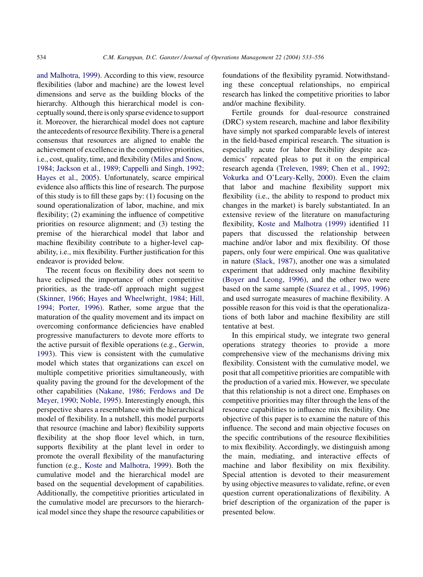[and Malhotra, 1999\)](#page--1-0). According to this view, resource flexibilities (labor and machine) are the lowest level dimensions and serve as the building blocks of the hierarchy. Although this hierarchical model is conceptually sound, there is only sparse evidence to support it. Moreover, the hierarchical model does not capture the antecedents of resource flexibility. There is a general consensus that resources are aligned to enable the achievement of excellence in the competitive priorities, i.e., cost, quality, time, and flexibility ([Miles and Snow,](#page--1-0) [1984; Jackson et al., 1989; Cappelli and Singh, 1992;](#page--1-0) [Hayes et al., 2005](#page--1-0)). Unfortunately, scarce empirical evidence also afflicts this line of research. The purpose of this study is to fill these gaps by: (1) focusing on the sound operationalization of labor, machine, and mix flexibility; (2) examining the influence of competitive priorities on resource alignment; and (3) testing the premise of the hierarchical model that labor and machine flexibility contribute to a higher-level capability, i.e., mix flexibility. Further justification for this endeavor is provided below.

The recent focus on flexibility does not seem to have eclipsed the importance of other competitive priorities, as the trade-off approach might suggest ([Skinner, 1966; Hayes and Wheelwright, 1984; Hill,](#page--1-0) [1994; Porter, 1996](#page--1-0)). Rather, some argue that the maturation of the quality movement and its impact on overcoming conformance deficiencies have enabled progressive manufacturers to devote more efforts to the active pursuit of flexible operations (e.g., [Gerwin,](#page--1-0) [1993](#page--1-0)). This view is consistent with the cumulative model which states that organizations can excel on multiple competitive priorities simultaneously, with quality paving the ground for the development of the other capabilities ([Nakane, 1986; Ferdows and De](#page--1-0) [Meyer, 1990; Noble, 1995\)](#page--1-0). Interestingly enough, this perspective shares a resemblance with the hierarchical model of flexibility. In a nutshell, this model purports that resource (machine and labor) flexibility supports flexibility at the shop floor level which, in turn, supports flexibility at the plant level in order to promote the overall flexibility of the manufacturing function (e.g., [Koste and Malhotra, 1999](#page--1-0)). Both the cumulative model and the hierarchical model are based on the sequential development of capabilities. Additionally, the competitive priorities articulated in the cumulative model are precursors to the hierarchical model since they shape the resource capabilities or foundations of the flexibility pyramid. Notwithstanding these conceptual relationships, no empirical research has linked the competitive priorities to labor and/or machine flexibility.

Fertile grounds for dual-resource constrained (DRC) system research, machine and labor flexibility have simply not sparked comparable levels of interest in the field-based empirical research. The situation is especially acute for labor flexibility despite academics' repeated pleas to put it on the empirical research agenda [\(Treleven, 1989; Chen et al., 1992;](#page--1-0) [Vokurka and O'Leary-Kelly, 2000](#page--1-0)). Even the claim that labor and machine flexibility support mix flexibility (i.e., the ability to respond to product mix changes in the market) is barely substantiated. In an extensive review of the literature on manufacturing flexibility, [Koste and Malhotra \(1999\)](#page--1-0) identified 11 papers that discussed the relationship between machine and/or labor and mix flexibility. Of those papers, only four were empirical. One was qualitative in nature [\(Slack, 1987\)](#page--1-0), another one was a simulated experiment that addressed only machine flexibility ([Boyer and Leong, 1996\)](#page--1-0), and the other two were based on the same sample ([Suarez et al., 1995, 1996](#page--1-0)) and used surrogate measures of machine flexibility. A possible reason for this void is that the operationalizations of both labor and machine flexibility are still tentative at best.

In this empirical study, we integrate two general operations strategy theories to provide a more comprehensive view of the mechanisms driving mix flexibility. Consistent with the cumulative model, we posit that all competitive priorities are compatible with the production of a varied mix. However, we speculate that this relationship is not a direct one. Emphases on competitive priorities may filter through the lens of the resource capabilities to influence mix flexibility. One objective of this paper is to examine the nature of this influence. The second and main objective focuses on the specific contributions of the resource flexibilities to mix flexibility. Accordingly, we distinguish among the main, mediating, and interactive effects of machine and labor flexibility on mix flexibility. Special attention is devoted to their measurement by using objective measures to validate, refine, or even question current operationalizations of flexibility. A brief description of the organization of the paper is presented below.